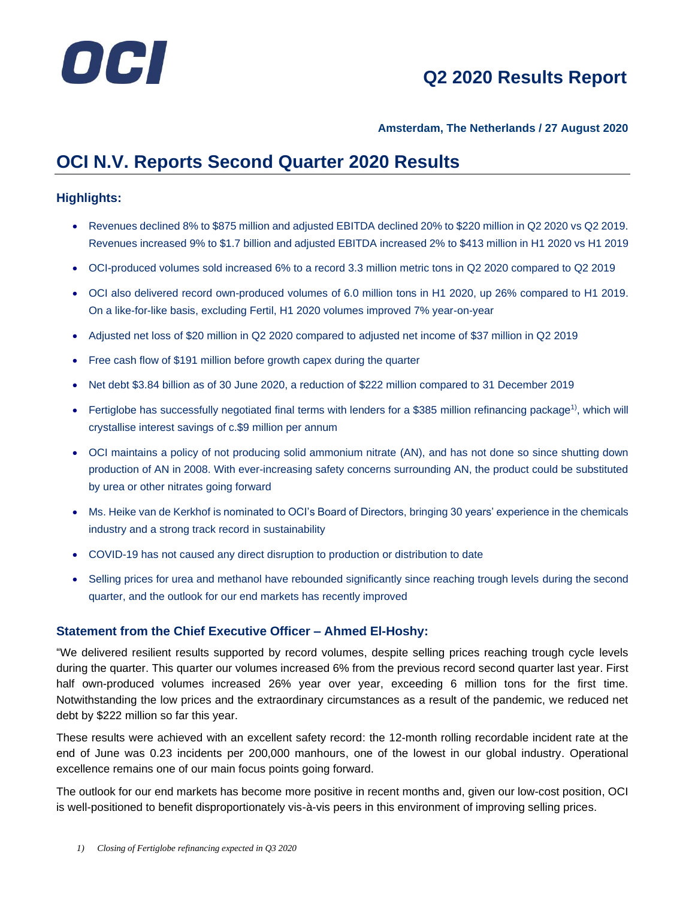

### **Amsterdam, The Netherlands / 27 August 2020**

# **OCI N.V. Reports Second Quarter 2020 Results**

### **Highlights:**

- Revenues declined 8% to \$875 million and adjusted EBITDA declined 20% to \$220 million in Q2 2020 vs Q2 2019. Revenues increased 9% to \$1.7 billion and adjusted EBITDA increased 2% to \$413 million in H1 2020 vs H1 2019
- OCI-produced volumes sold increased 6% to a record 3.3 million metric tons in Q2 2020 compared to Q2 2019
- OCI also delivered record own-produced volumes of 6.0 million tons in H1 2020, up 26% compared to H1 2019. On a like-for-like basis, excluding Fertil, H1 2020 volumes improved 7% year-on-year
- Adjusted net loss of \$20 million in Q2 2020 compared to adjusted net income of \$37 million in Q2 2019
- Free cash flow of \$191 million before growth capex during the quarter
- Net debt \$3.84 billion as of 30 June 2020, a reduction of \$222 million compared to 31 December 2019
- Fertiglobe has successfully negotiated final terms with lenders for a \$385 million refinancing package<sup>1)</sup>, which will crystallise interest savings of c.\$9 million per annum
- OCI maintains a policy of not producing solid ammonium nitrate (AN), and has not done so since shutting down production of AN in 2008. With ever-increasing safety concerns surrounding AN, the product could be substituted by urea or other nitrates going forward
- Ms. Heike van de Kerkhof is nominated to OCI's Board of Directors, bringing 30 years' experience in the chemicals industry and a strong track record in sustainability
- COVID-19 has not caused any direct disruption to production or distribution to date
- Selling prices for urea and methanol have rebounded significantly since reaching trough levels during the second quarter, and the outlook for our end markets has recently improved

### **Statement from the Chief Executive Officer – Ahmed El-Hoshy:**

"We delivered resilient results supported by record volumes, despite selling prices reaching trough cycle levels during the quarter. This quarter our volumes increased 6% from the previous record second quarter last year. First half own-produced volumes increased 26% year over year, exceeding 6 million tons for the first time. Notwithstanding the low prices and the extraordinary circumstances as a result of the pandemic, we reduced net debt by \$222 million so far this year.

These results were achieved with an excellent safety record: the 12-month rolling recordable incident rate at the end of June was 0.23 incidents per 200,000 manhours, one of the lowest in our global industry. Operational excellence remains one of our main focus points going forward.

The outlook for our end markets has become more positive in recent months and, given our low-cost position, OCI is well-positioned to benefit disproportionately vis-à-vis peers in this environment of improving selling prices.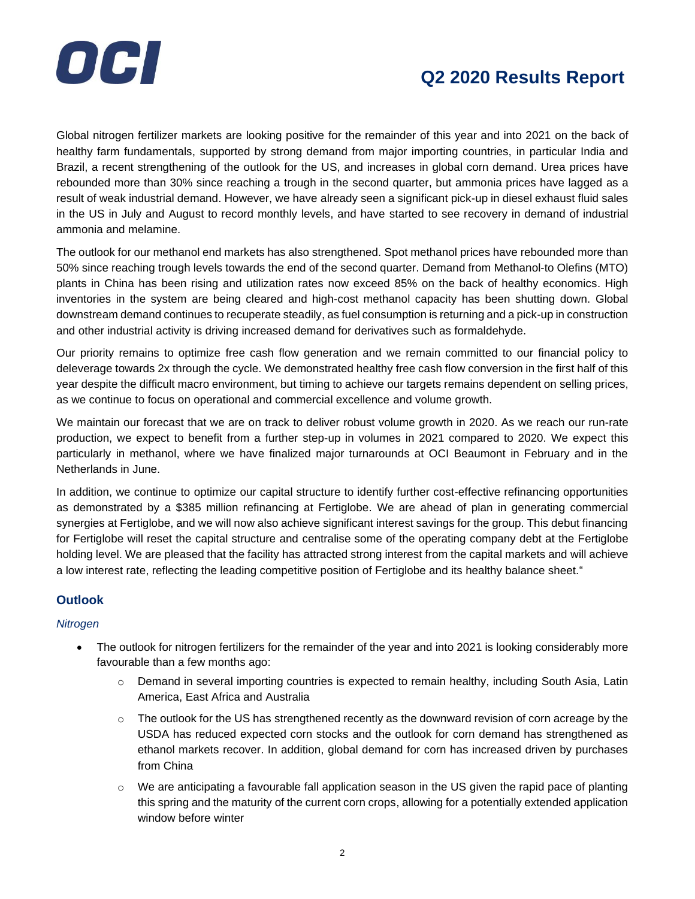

Global nitrogen fertilizer markets are looking positive for the remainder of this year and into 2021 on the back of healthy farm fundamentals, supported by strong demand from major importing countries, in particular India and Brazil, a recent strengthening of the outlook for the US, and increases in global corn demand. Urea prices have rebounded more than 30% since reaching a trough in the second quarter, but ammonia prices have lagged as a result of weak industrial demand. However, we have already seen a significant pick-up in diesel exhaust fluid sales in the US in July and August to record monthly levels, and have started to see recovery in demand of industrial ammonia and melamine.

The outlook for our methanol end markets has also strengthened. Spot methanol prices have rebounded more than 50% since reaching trough levels towards the end of the second quarter. Demand from Methanol-to Olefins (MTO) plants in China has been rising and utilization rates now exceed 85% on the back of healthy economics. High inventories in the system are being cleared and high-cost methanol capacity has been shutting down. Global downstream demand continues to recuperate steadily, as fuel consumption is returning and a pick-up in construction and other industrial activity is driving increased demand for derivatives such as formaldehyde.

Our priority remains to optimize free cash flow generation and we remain committed to our financial policy to deleverage towards 2x through the cycle. We demonstrated healthy free cash flow conversion in the first half of this year despite the difficult macro environment, but timing to achieve our targets remains dependent on selling prices, as we continue to focus on operational and commercial excellence and volume growth.

We maintain our forecast that we are on track to deliver robust volume growth in 2020. As we reach our run-rate production, we expect to benefit from a further step-up in volumes in 2021 compared to 2020. We expect this particularly in methanol, where we have finalized major turnarounds at OCI Beaumont in February and in the Netherlands in June.

In addition, we continue to optimize our capital structure to identify further cost-effective refinancing opportunities as demonstrated by a \$385 million refinancing at Fertiglobe. We are ahead of plan in generating commercial synergies at Fertiglobe, and we will now also achieve significant interest savings for the group. This debut financing for Fertiglobe will reset the capital structure and centralise some of the operating company debt at the Fertiglobe holding level. We are pleased that the facility has attracted strong interest from the capital markets and will achieve a low interest rate, reflecting the leading competitive position of Fertiglobe and its healthy balance sheet."

### **Outlook**

#### *Nitrogen*

- The outlook for nitrogen fertilizers for the remainder of the year and into 2021 is looking considerably more favourable than a few months ago:
	- o Demand in several importing countries is expected to remain healthy, including South Asia, Latin America, East Africa and Australia
	- $\circ$  The outlook for the US has strengthened recently as the downward revision of corn acreage by the USDA has reduced expected corn stocks and the outlook for corn demand has strengthened as ethanol markets recover. In addition, global demand for corn has increased driven by purchases from China
	- o We are anticipating a favourable fall application season in the US given the rapid pace of planting this spring and the maturity of the current corn crops, allowing for a potentially extended application window before winter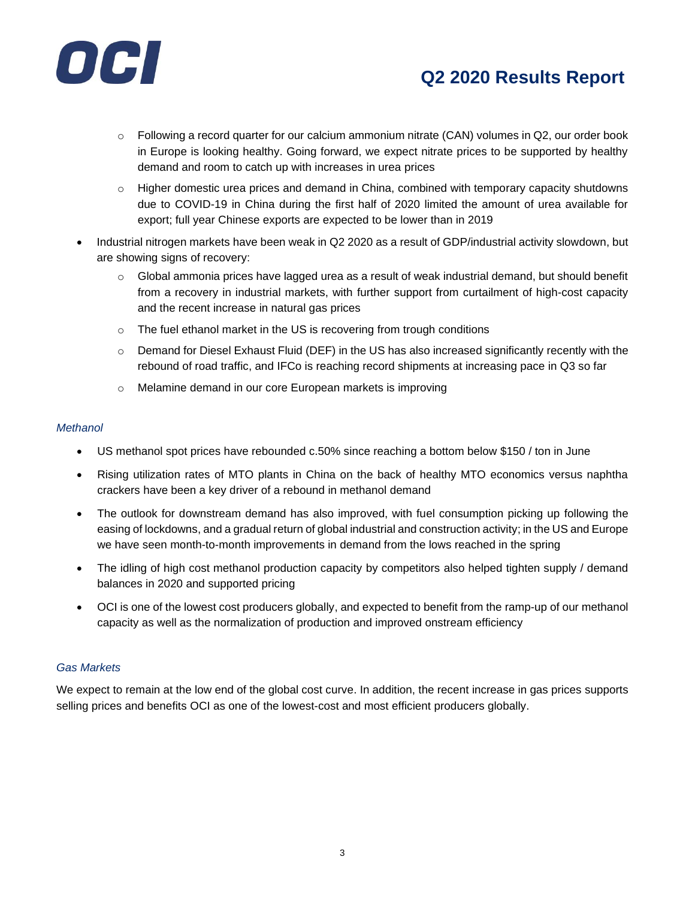

- $\circ$  Following a record quarter for our calcium ammonium nitrate (CAN) volumes in Q2, our order book in Europe is looking healthy. Going forward, we expect nitrate prices to be supported by healthy demand and room to catch up with increases in urea prices
- $\circ$  Higher domestic urea prices and demand in China, combined with temporary capacity shutdowns due to COVID-19 in China during the first half of 2020 limited the amount of urea available for export; full year Chinese exports are expected to be lower than in 2019
- Industrial nitrogen markets have been weak in Q2 2020 as a result of GDP/industrial activity slowdown, but are showing signs of recovery:
	- $\circ$  Global ammonia prices have lagged urea as a result of weak industrial demand, but should benefit from a recovery in industrial markets, with further support from curtailment of high-cost capacity and the recent increase in natural gas prices
	- $\circ$  The fuel ethanol market in the US is recovering from trough conditions
	- o Demand for Diesel Exhaust Fluid (DEF) in the US has also increased significantly recently with the rebound of road traffic, and IFCo is reaching record shipments at increasing pace in Q3 so far
	- o Melamine demand in our core European markets is improving

#### *Methanol*

- US methanol spot prices have rebounded c.50% since reaching a bottom below \$150 / ton in June
- Rising utilization rates of MTO plants in China on the back of healthy MTO economics versus naphtha crackers have been a key driver of a rebound in methanol demand
- The outlook for downstream demand has also improved, with fuel consumption picking up following the easing of lockdowns, and a gradual return of global industrial and construction activity; in the US and Europe we have seen month-to-month improvements in demand from the lows reached in the spring
- The idling of high cost methanol production capacity by competitors also helped tighten supply / demand balances in 2020 and supported pricing
- OCI is one of the lowest cost producers globally, and expected to benefit from the ramp-up of our methanol capacity as well as the normalization of production and improved onstream efficiency

### *Gas Markets*

We expect to remain at the low end of the global cost curve. In addition, the recent increase in gas prices supports selling prices and benefits OCI as one of the lowest-cost and most efficient producers globally.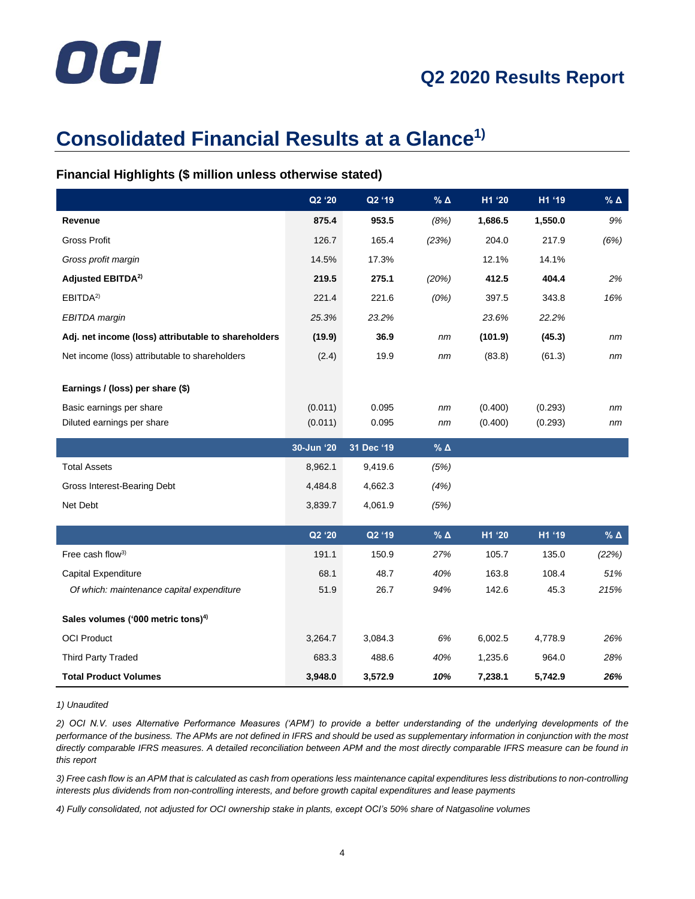# OCI

# **Consolidated Financial Results at a Glance1)**

### **Financial Highlights (\$ million unless otherwise stated)**

|                                                                  | Q2 '20       | Q2 '19       | $\%$ $\Delta$   | H1 '20         | H1 '19        | $\%$ $\Delta$   |
|------------------------------------------------------------------|--------------|--------------|-----------------|----------------|---------------|-----------------|
| Revenue                                                          | 875.4        | 953.5        | (8%)            | 1,686.5        | 1,550.0       | 9%              |
| <b>Gross Profit</b>                                              | 126.7        | 165.4        | (23%)           | 204.0          | 217.9         | (6%)            |
| Gross profit margin                                              | 14.5%        | 17.3%        |                 | 12.1%          | 14.1%         |                 |
| Adjusted EBITDA <sup>2)</sup>                                    | 219.5        | 275.1        | (20%)           | 412.5          | 404.4         | 2%              |
| EBITDA <sup>2)</sup>                                             | 221.4        | 221.6        | (0%)            | 397.5          | 343.8         | 16%             |
| <b>EBITDA</b> margin                                             | 25.3%        | 23.2%        |                 | 23.6%          | 22.2%         |                 |
| Adj. net income (loss) attributable to shareholders              | (19.9)       | 36.9         | nm              | (101.9)        | (45.3)        | nm              |
| Net income (loss) attributable to shareholders                   | (2.4)        | 19.9         | nm              | (83.8)         | (61.3)        | nm              |
|                                                                  |              |              |                 |                |               |                 |
| Earnings / (loss) per share (\$)                                 |              |              |                 |                |               |                 |
| Basic earnings per share                                         | (0.011)      | 0.095        | nm              | (0.400)        | (0.293)       | nm              |
| Diluted earnings per share                                       | (0.011)      | 0.095        | nm              | (0.400)        | (0.293)       | nm              |
|                                                                  |              |              |                 |                |               |                 |
|                                                                  | 30-Jun '20   | 31 Dec '19   | % $\Delta$      |                |               |                 |
| <b>Total Assets</b>                                              | 8,962.1      | 9,419.6      | (5%)            |                |               |                 |
| Gross Interest-Bearing Debt                                      | 4,484.8      | 4,662.3      | (4%)            |                |               |                 |
| Net Debt                                                         | 3,839.7      | 4,061.9      | (5%)            |                |               |                 |
|                                                                  |              |              |                 |                |               |                 |
|                                                                  | Q2 '20       | Q2 '19       | $%$ $\triangle$ | H1 '20         | H1 '19        | $%$ $\triangle$ |
| Free cash flow <sup>3)</sup>                                     | 191.1        | 150.9        | 27%             | 105.7          | 135.0         | (22%)           |
| Capital Expenditure<br>Of which: maintenance capital expenditure | 68.1<br>51.9 | 48.7<br>26.7 | 40%<br>94%      | 163.8<br>142.6 | 108.4<br>45.3 | 51%<br>215%     |
|                                                                  |              |              |                 |                |               |                 |
| Sales volumes ('000 metric tons) <sup>4)</sup>                   |              |              |                 |                |               |                 |
| <b>OCI Product</b>                                               | 3,264.7      | 3,084.3      | 6%              | 6,002.5        | 4,778.9       | 26%             |
| <b>Third Party Traded</b>                                        | 683.3        | 488.6        | 40%             | 1,235.6        | 964.0         | 28%             |

*1) Unaudited*

*2) OCI N.V. uses Alternative Performance Measures ('APM') to provide a better understanding of the underlying developments of the performance of the business. The APMs are not defined in IFRS and should be used as supplementary information in conjunction with the most directly comparable IFRS measures. A detailed reconciliation between APM and the most directly comparable IFRS measure can be found in this report*

*3) Free cash flow is an APM that is calculated as cash from operations less maintenance capital expenditures less distributions to non-controlling interests plus dividends from non-controlling interests, and before growth capital expenditures and lease payments*

*4) Fully consolidated, not adjusted for OCI ownership stake in plants, except OCI's 50% share of Natgasoline volumes*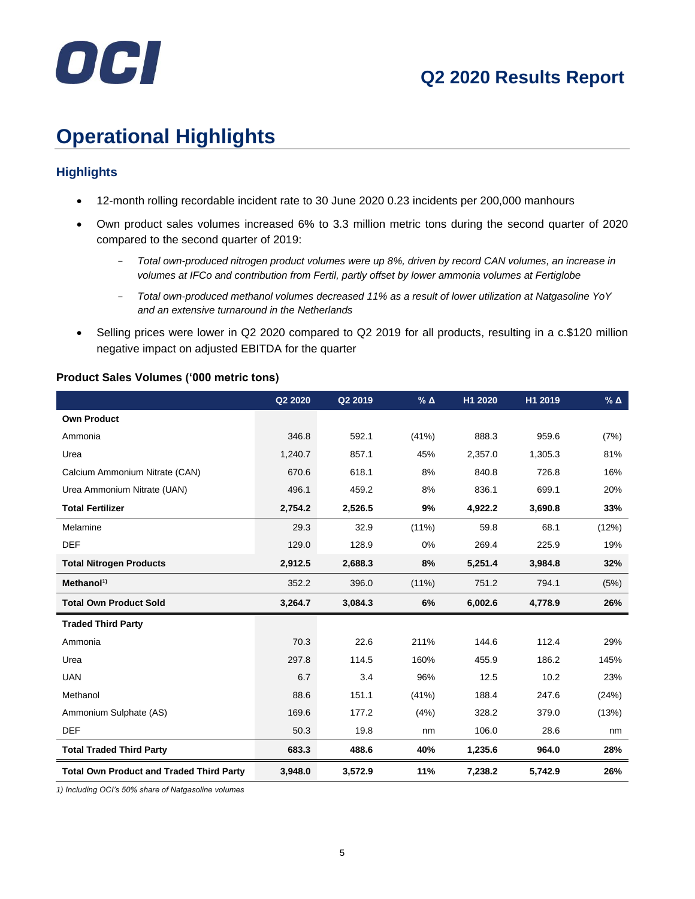

# **Operational Highlights**

# **Highlights**

- 12-month rolling recordable incident rate to 30 June 2020 0.23 incidents per 200,000 manhours
- Own product sales volumes increased 6% to 3.3 million metric tons during the second quarter of 2020 compared to the second quarter of 2019:
	- *Total own-produced nitrogen product volumes were up 8%, driven by record CAN volumes, an increase in volumes at IFCo and contribution from Fertil, partly offset by lower ammonia volumes at Fertiglobe*
	- *Total own-produced methanol volumes decreased 11% as a result of lower utilization at Natgasoline YoY and an extensive turnaround in the Netherlands*
- Selling prices were lower in Q2 2020 compared to Q2 2019 for all products, resulting in a c.\$120 million negative impact on adjusted EBITDA for the quarter

|                                                 | Q2 2020 | Q2 2019 | $%$ $\triangle$ | H1 2020 | H1 2019 | % $\Delta$ |
|-------------------------------------------------|---------|---------|-----------------|---------|---------|------------|
| <b>Own Product</b>                              |         |         |                 |         |         |            |
| Ammonia                                         | 346.8   | 592.1   | (41%)           | 888.3   | 959.6   | (7%)       |
| Urea                                            | 1,240.7 | 857.1   | 45%             | 2,357.0 | 1,305.3 | 81%        |
| Calcium Ammonium Nitrate (CAN)                  | 670.6   | 618.1   | 8%              | 840.8   | 726.8   | 16%        |
| Urea Ammonium Nitrate (UAN)                     | 496.1   | 459.2   | 8%              | 836.1   | 699.1   | 20%        |
| <b>Total Fertilizer</b>                         | 2,754.2 | 2,526.5 | 9%              | 4,922.2 | 3,690.8 | 33%        |
| Melamine                                        | 29.3    | 32.9    | $(11\%)$        | 59.8    | 68.1    | (12%)      |
| <b>DEF</b>                                      | 129.0   | 128.9   | 0%              | 269.4   | 225.9   | 19%        |
| <b>Total Nitrogen Products</b>                  | 2,912.5 | 2,688.3 | 8%              | 5,251.4 | 3,984.8 | 32%        |
| Method <sup>1</sup>                             | 352.2   | 396.0   | $(11\%)$        | 751.2   | 794.1   | (5%)       |
| <b>Total Own Product Sold</b>                   | 3,264.7 | 3,084.3 | 6%              | 6,002.6 | 4,778.9 | 26%        |
| <b>Traded Third Party</b>                       |         |         |                 |         |         |            |
| Ammonia                                         | 70.3    | 22.6    | 211%            | 144.6   | 112.4   | 29%        |
| Urea                                            | 297.8   | 114.5   | 160%            | 455.9   | 186.2   | 145%       |
| <b>UAN</b>                                      | 6.7     | 3.4     | 96%             | 12.5    | 10.2    | 23%        |
| Methanol                                        | 88.6    | 151.1   | (41%)           | 188.4   | 247.6   | (24%)      |
| Ammonium Sulphate (AS)                          | 169.6   | 177.2   | (4%)            | 328.2   | 379.0   | (13%)      |
| <b>DEF</b>                                      | 50.3    | 19.8    | nm              | 106.0   | 28.6    | nm         |
| <b>Total Traded Third Party</b>                 | 683.3   | 488.6   | 40%             | 1,235.6 | 964.0   | 28%        |
| <b>Total Own Product and Traded Third Party</b> | 3,948.0 | 3,572.9 | 11%             | 7,238.2 | 5,742.9 | 26%        |

#### **Product Sales Volumes ('000 metric tons)**

*1) Including OCI's 50% share of Natgasoline volumes*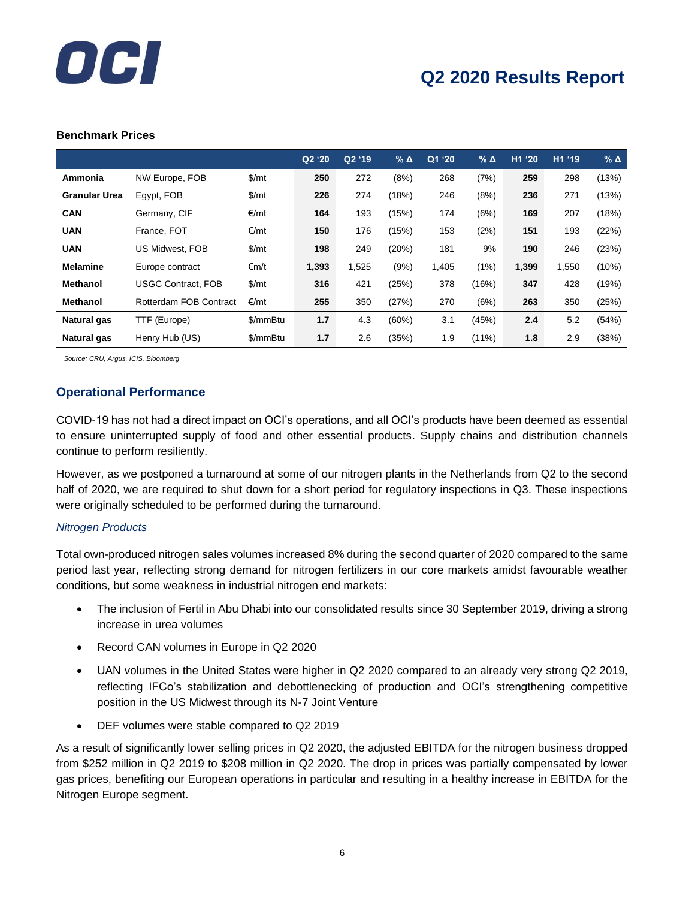

#### **Benchmark Prices**

|                      |                           |          | Q2 '20 | Q2 '19 | $%$ $\triangle$ | Q1 '20' | $%$ $\triangle$ | H1 '20 | H1 '19 | $%$ $\triangle$ |
|----------------------|---------------------------|----------|--------|--------|-----------------|---------|-----------------|--------|--------|-----------------|
| Ammonia              | NW Europe, FOB            | \$/mt    | 250    | 272    | (8%)            | 268     | (7%)            | 259    | 298    | (13%)           |
| <b>Granular Urea</b> | Egypt, FOB                | \$/mt    | 226    | 274    | (18%)           | 246     | (8%)            | 236    | 271    | (13%)           |
| <b>CAN</b>           | Germany, CIF              | €/mt     | 164    | 193    | (15%)           | 174     | (6%)            | 169    | 207    | (18%)           |
| <b>UAN</b>           | France, FOT               | €/mt     | 150    | 176    | (15%)           | 153     | (2%)            | 151    | 193    | (22%)           |
| <b>UAN</b>           | <b>US Midwest, FOB</b>    | \$/mt    | 198    | 249    | (20%)           | 181     | 9%              | 190    | 246    | (23%)           |
| <b>Melamine</b>      | Europe contract           | €m/t     | 1,393  | 1,525  | (9%)            | 1,405   | (1%)            | 1,399  | 1,550  | $(10\%)$        |
| <b>Methanol</b>      | <b>USGC Contract, FOB</b> | \$/mt    | 316    | 421    | (25%)           | 378     | (16%)           | 347    | 428    | (19%)           |
| <b>Methanol</b>      | Rotterdam FOB Contract    | €/mt     | 255    | 350    | (27%)           | 270     | (6%)            | 263    | 350    | (25%)           |
| <b>Natural gas</b>   | TTF (Europe)              | \$/mmBtu | 1.7    | 4.3    | (60%)           | 3.1     | (45%)           | 2.4    | 5.2    | (54%)           |
| Natural gas          | Henry Hub (US)            | \$/mmBtu | 1.7    | 2.6    | (35%)           | 1.9     | $(11\%)$        | 1.8    | 2.9    | (38%)           |

 *Source: CRU, Argus, ICIS, Bloomberg*

### **Operational Performance**

COVID-19 has not had a direct impact on OCI's operations, and all OCI's products have been deemed as essential to ensure uninterrupted supply of food and other essential products. Supply chains and distribution channels continue to perform resiliently.

However, as we postponed a turnaround at some of our nitrogen plants in the Netherlands from Q2 to the second half of 2020, we are required to shut down for a short period for regulatory inspections in Q3. These inspections were originally scheduled to be performed during the turnaround.

#### *Nitrogen Products*

Total own-produced nitrogen sales volumes increased 8% during the second quarter of 2020 compared to the same period last year, reflecting strong demand for nitrogen fertilizers in our core markets amidst favourable weather conditions, but some weakness in industrial nitrogen end markets:

- The inclusion of Fertil in Abu Dhabi into our consolidated results since 30 September 2019, driving a strong increase in urea volumes
- Record CAN volumes in Europe in Q2 2020
- UAN volumes in the United States were higher in Q2 2020 compared to an already very strong Q2 2019, reflecting IFCo's stabilization and debottlenecking of production and OCI's strengthening competitive position in the US Midwest through its N-7 Joint Venture
- DEF volumes were stable compared to Q2 2019

As a result of significantly lower selling prices in Q2 2020, the adjusted EBITDA for the nitrogen business dropped from \$252 million in Q2 2019 to \$208 million in Q2 2020. The drop in prices was partially compensated by lower gas prices, benefiting our European operations in particular and resulting in a healthy increase in EBITDA for the Nitrogen Europe segment.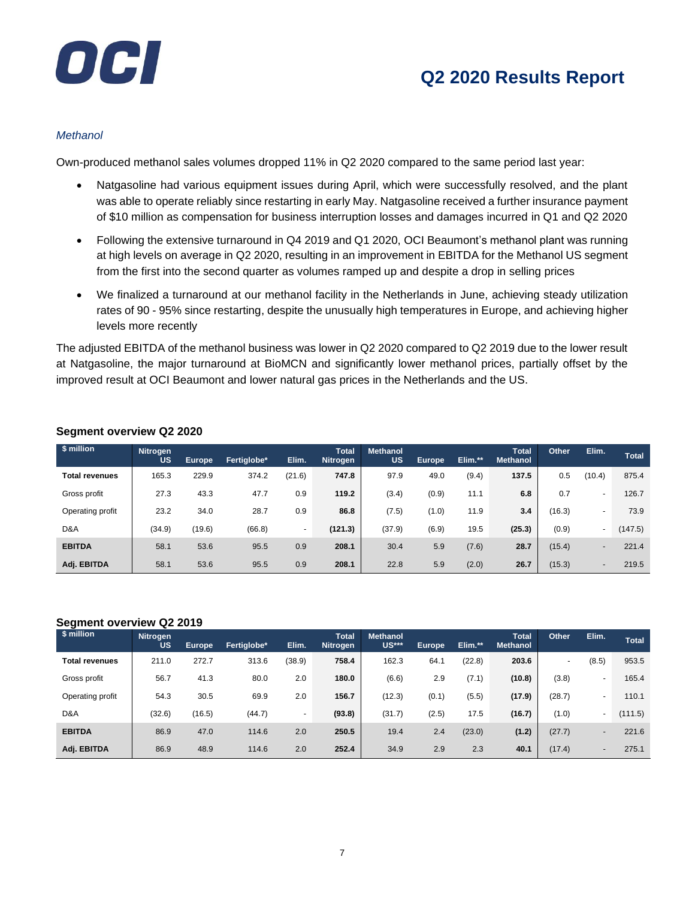

#### *Methanol*

Own-produced methanol sales volumes dropped 11% in Q2 2020 compared to the same period last year:

- Natgasoline had various equipment issues during April, which were successfully resolved, and the plant was able to operate reliably since restarting in early May. Natgasoline received a further insurance payment of \$10 million as compensation for business interruption losses and damages incurred in Q1 and Q2 2020
- Following the extensive turnaround in Q4 2019 and Q1 2020, OCI Beaumont's methanol plant was running at high levels on average in Q2 2020, resulting in an improvement in EBITDA for the Methanol US segment from the first into the second quarter as volumes ramped up and despite a drop in selling prices
- We finalized a turnaround at our methanol facility in the Netherlands in June, achieving steady utilization rates of 90 - 95% since restarting, despite the unusually high temperatures in Europe, and achieving higher levels more recently

The adjusted EBITDA of the methanol business was lower in Q2 2020 compared to Q2 2019 due to the lower result at Natgasoline, the major turnaround at BioMCN and significantly lower methanol prices, partially offset by the improved result at OCI Beaumont and lower natural gas prices in the Netherlands and the US.

| \$ million            | <b>Nitrogen</b><br><b>US</b> | <b>Europe</b> | Fertiglobe* | Elim.  | <b>Total</b><br><b>Nitrogen</b> | <b>Methanol</b><br><b>US</b> | <b>Europe</b> | Elim.** | Total<br><b>Methanol</b> | Other  | Elim.                    | <b>Total</b> |
|-----------------------|------------------------------|---------------|-------------|--------|---------------------------------|------------------------------|---------------|---------|--------------------------|--------|--------------------------|--------------|
| <b>Total revenues</b> | 165.3                        | 229.9         | 374.2       | (21.6) | 747.8                           | 97.9                         | 49.0          | (9.4)   | 137.5                    | 0.5    | (10.4)                   | 875.4        |
| Gross profit          | 27.3                         | 43.3          | 47.7        | 0.9    | 119.2                           | (3.4)                        | (0.9)         | 11.1    | 6.8                      | 0.7    | ٠                        | 126.7        |
| Operating profit      | 23.2                         | 34.0          | 28.7        | 0.9    | 86.8                            | (7.5)                        | (1.0)         | 11.9    | 3.4                      | (16.3) | -                        | 73.9         |
| D&A                   | (34.9)                       | (19.6)        | (66.8)      | ٠      | (121.3)                         | (37.9)                       | (6.9)         | 19.5    | (25.3)                   | (0.9)  | -                        | (147.5)      |
| <b>EBITDA</b>         | 58.1                         | 53.6          | 95.5        | 0.9    | 208.1                           | 30.4                         | 5.9           | (7.6)   | 28.7                     | (15.4) | $\overline{\phantom{0}}$ | 221.4        |
| Adj. EBITDA           | 58.1                         | 53.6          | 95.5        | 0.9    | 208.1                           | 22.8                         | 5.9           | (2.0)   | 26.7                     | (15.3) | -                        | 219.5        |

#### **Segment overview Q2 2020**

#### **Segment overview Q2 2019**

| - 9 - - - -<br>\$ million | <b>Nitrogen</b><br><b>US</b> | <b>Europe</b> | Fertiglobe* | Elim.  | Total<br><b>Nitrogen</b> | <b>Methanol</b><br>US*** | <b>Europe</b> | Elim.** | Total<br><b>Methanol</b> | Other          | Elim.                    | <b>Total</b> |
|---------------------------|------------------------------|---------------|-------------|--------|--------------------------|--------------------------|---------------|---------|--------------------------|----------------|--------------------------|--------------|
| Total revenues            | 211.0                        | 272.7         | 313.6       | (38.9) | 758.4                    | 162.3                    | 64.1          | (22.8)  | 203.6                    | $\overline{a}$ | (8.5)                    | 953.5        |
| Gross profit              | 56.7                         | 41.3          | 80.0        | 2.0    | 180.0                    | (6.6)                    | 2.9           | (7.1)   | (10.8)                   | (3.8)          | $\overline{a}$           | 165.4        |
| Operating profit          | 54.3                         | 30.5          | 69.9        | 2.0    | 156.7                    | (12.3)                   | (0.1)         | (5.5)   | (17.9)                   | (28.7)         | $\overline{\phantom{a}}$ | 110.1        |
| D&A                       | (32.6)                       | (16.5)        | (44.7)      | $\sim$ | (93.8)                   | (31.7)                   | (2.5)         | 17.5    | (16.7)                   | (1.0)          | ٠                        | (111.5)      |
| <b>EBITDA</b>             | 86.9                         | 47.0          | 114.6       | 2.0    | 250.5                    | 19.4                     | 2.4           | (23.0)  | (1.2)                    | (27.7)         | $\overline{\phantom{0}}$ | 221.6        |
| Adj. EBITDA               | 86.9                         | 48.9          | 114.6       | 2.0    | 252.4                    | 34.9                     | 2.9           | 2.3     | 40.1                     | (17.4)         | $\overline{\phantom{0}}$ | 275.1        |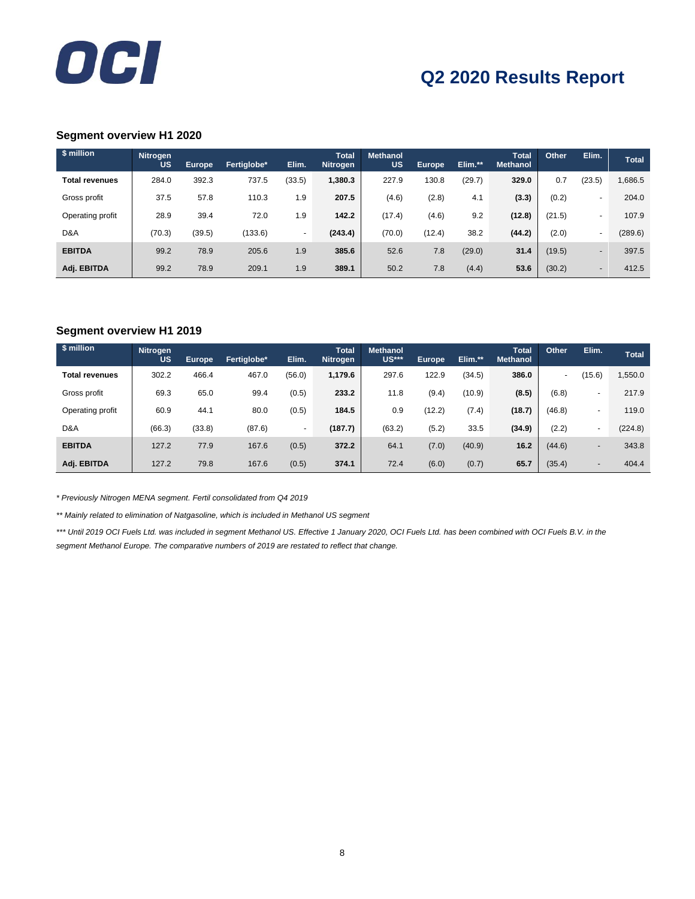

#### **Segment overview H1 2020**

| \$ million            | <b>Nitrogen</b><br>US | <b>Europe</b> | Fertiglobe* | Elim.  | Total<br><b>Nitrogen</b> | <b>Methanol</b><br><b>US</b> | <b>Europe</b> | Elim.** | Total<br>Methanol | Other  | Elim.                    | <b>Total</b> |
|-----------------------|-----------------------|---------------|-------------|--------|--------------------------|------------------------------|---------------|---------|-------------------|--------|--------------------------|--------------|
| <b>Total revenues</b> | 284.0                 | 392.3         | 737.5       | (33.5) | 1,380.3                  | 227.9                        | 130.8         | (29.7)  | 329.0             | 0.7    | (23.5)                   | 1,686.5      |
| Gross profit          | 37.5                  | 57.8          | 110.3       | 1.9    | 207.5                    | (4.6)                        | (2.8)         | 4.1     | (3.3)             | (0.2)  | $\overline{\phantom{a}}$ | 204.0        |
| Operating profit      | 28.9                  | 39.4          | 72.0        | 1.9    | 142.2                    | (17.4)                       | (4.6)         | 9.2     | (12.8)            | (21.5) | $\overline{\phantom{a}}$ | 107.9        |
| D&A                   | (70.3)                | (39.5)        | (133.6)     | $\sim$ | (243.4)                  | (70.0)                       | (12.4)        | 38.2    | (44.2)            | (2.0)  | $\overline{a}$           | (289.6)      |
| <b>EBITDA</b>         | 99.2                  | 78.9          | 205.6       | 1.9    | 385.6                    | 52.6                         | 7.8           | (29.0)  | 31.4              | (19.5) | $\overline{\phantom{a}}$ | 397.5        |
| Adj. EBITDA           | 99.2                  | 78.9          | 209.1       | 1.9    | 389.1                    | 50.2                         | 7.8           | (4.4)   | 53.6              | (30.2) | $\overline{\phantom{0}}$ | 412.5        |

#### **Segment overview H1 2019**

| \$ million            | <b>Nitrogen</b><br><b>US</b> | <b>Europe</b> | Fertiglobe* | Elim.          | <b>Total</b><br>Nitrogen | <b>Methanol</b><br>US*** | <b>Europe</b> | Elim.** | Total<br><b>Methanol</b> | Other                    | Elim.                    | <b>Total</b> |
|-----------------------|------------------------------|---------------|-------------|----------------|--------------------------|--------------------------|---------------|---------|--------------------------|--------------------------|--------------------------|--------------|
| <b>Total revenues</b> | 302.2                        | 466.4         | 467.0       | (56.0)         | 1,179.6                  | 297.6                    | 122.9         | (34.5)  | 386.0                    | $\overline{\phantom{a}}$ | 15.6)                    | 1,550.0      |
| Gross profit          | 69.3                         | 65.0          | 99.4        | (0.5)          | 233.2                    | 11.8                     | (9.4)         | (10.9)  | (8.5)                    | (6.8)                    | $\sim$                   | 217.9        |
| Operating profit      | 60.9                         | 44.1          | 80.0        | (0.5)          | 184.5                    | 0.9                      | (12.2)        | (7.4)   | (18.7)                   | (46.8)                   | $\sim$                   | 119.0        |
| D&A                   | (66.3)                       | (33.8)        | (87.6)      | $\blacksquare$ | (187.7)                  | (63.2)                   | (5.2)         | 33.5    | (34.9)                   | (2.2)                    | $\sim$                   | (224.8)      |
| <b>EBITDA</b>         | 127.2                        | 77.9          | 167.6       | (0.5)          | 372.2                    | 64.1                     | (7.0)         | (40.9)  | 16.2                     | (44.6)                   | $\overline{\phantom{a}}$ | 343.8        |
| Adj. EBITDA           | 127.2                        | 79.8          | 167.6       | (0.5)          | 374.1                    | 72.4                     | (6.0)         | (0.7)   | 65.7                     | (35.4)                   | $\overline{\phantom{a}}$ | 404.4        |

*\* Previously Nitrogen MENA segment. Fertil consolidated from Q4 2019*

*\*\* Mainly related to elimination of Natgasoline, which is included in Methanol US segment*

*\*\*\* Until 2019 OCI Fuels Ltd. was included in segment Methanol US. Effective 1 January 2020, OCI Fuels Ltd. has been combined with OCI Fuels B.V. in the segment Methanol Europe. The comparative numbers of 2019 are restated to reflect that change.*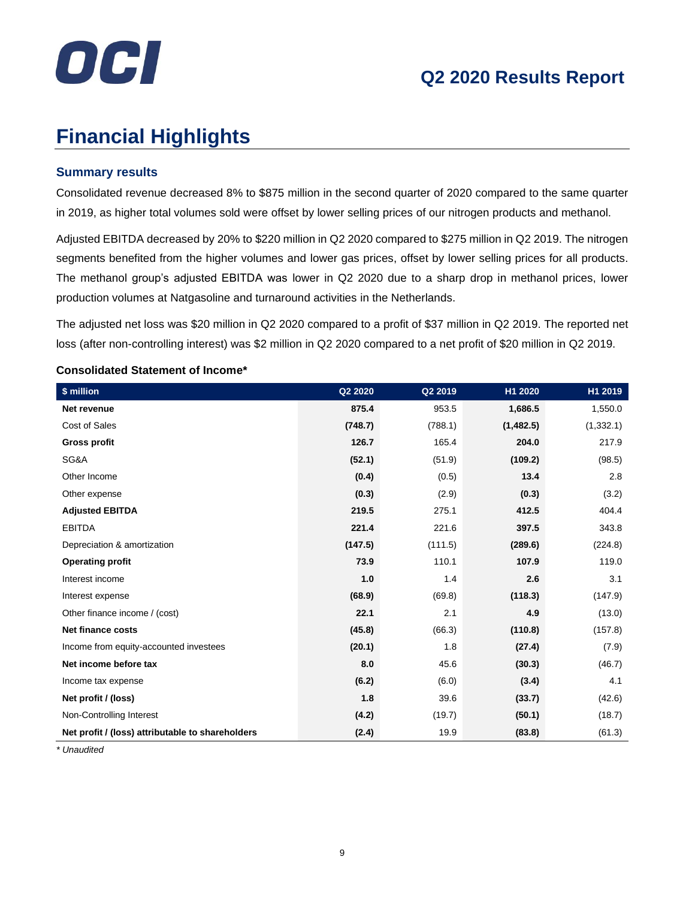

# **Financial Highlights**

### **Summary results**

Consolidated revenue decreased 8% to \$875 million in the second quarter of 2020 compared to the same quarter in 2019, as higher total volumes sold were offset by lower selling prices of our nitrogen products and methanol.

Adjusted EBITDA decreased by 20% to \$220 million in Q2 2020 compared to \$275 million in Q2 2019. The nitrogen segments benefited from the higher volumes and lower gas prices, offset by lower selling prices for all products. The methanol group's adjusted EBITDA was lower in Q2 2020 due to a sharp drop in methanol prices, lower production volumes at Natgasoline and turnaround activities in the Netherlands.

The adjusted net loss was \$20 million in Q2 2020 compared to a profit of \$37 million in Q2 2019. The reported net loss (after non-controlling interest) was \$2 million in Q2 2020 compared to a net profit of \$20 million in Q2 2019.

| \$ million                                       | Q2 2020 | Q2 2019 | H1 2020   | H1 2019    |
|--------------------------------------------------|---------|---------|-----------|------------|
| Net revenue                                      | 875.4   | 953.5   | 1,686.5   | 1,550.0    |
| Cost of Sales                                    | (748.7) | (788.1) | (1,482.5) | (1, 332.1) |
| <b>Gross profit</b>                              | 126.7   | 165.4   | 204.0     | 217.9      |
| SG&A                                             | (52.1)  | (51.9)  | (109.2)   | (98.5)     |
| Other Income                                     | (0.4)   | (0.5)   | 13.4      | 2.8        |
| Other expense                                    | (0.3)   | (2.9)   | (0.3)     | (3.2)      |
| <b>Adjusted EBITDA</b>                           | 219.5   | 275.1   | 412.5     | 404.4      |
| <b>EBITDA</b>                                    | 221.4   | 221.6   | 397.5     | 343.8      |
| Depreciation & amortization                      | (147.5) | (111.5) | (289.6)   | (224.8)    |
| <b>Operating profit</b>                          | 73.9    | 110.1   | 107.9     | 119.0      |
| Interest income                                  | 1.0     | 1.4     | 2.6       | 3.1        |
| Interest expense                                 | (68.9)  | (69.8)  | (118.3)   | (147.9)    |
| Other finance income / (cost)                    | 22.1    | 2.1     | 4.9       | (13.0)     |
| Net finance costs                                | (45.8)  | (66.3)  | (110.8)   | (157.8)    |
| Income from equity-accounted investees           | (20.1)  | 1.8     | (27.4)    | (7.9)      |
| Net income before tax                            | 8.0     | 45.6    | (30.3)    | (46.7)     |
| Income tax expense                               | (6.2)   | (6.0)   | (3.4)     | 4.1        |
| Net profit / (loss)                              | 1.8     | 39.6    | (33.7)    | (42.6)     |
| Non-Controlling Interest                         | (4.2)   | (19.7)  | (50.1)    | (18.7)     |
| Net profit / (loss) attributable to shareholders | (2.4)   | 19.9    | (83.8)    | (61.3)     |

#### **Consolidated Statement of Income\***

*\* Unaudited*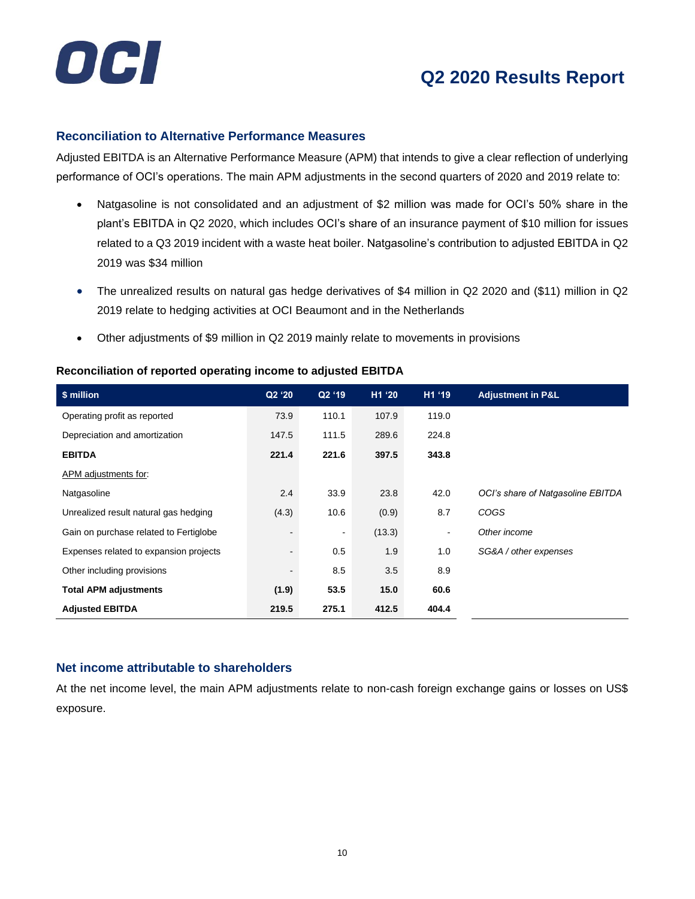

#### **Reconciliation to Alternative Performance Measures**

Adjusted EBITDA is an Alternative Performance Measure (APM) that intends to give a clear reflection of underlying performance of OCI's operations. The main APM adjustments in the second quarters of 2020 and 2019 relate to:

- Natgasoline is not consolidated and an adjustment of \$2 million was made for OCI's 50% share in the plant's EBITDA in Q2 2020, which includes OCI's share of an insurance payment of \$10 million for issues related to a Q3 2019 incident with a waste heat boiler. Natgasoline's contribution to adjusted EBITDA in Q2 2019 was \$34 million
- The unrealized results on natural gas hedge derivatives of \$4 million in Q2 2020 and (\$11) million in Q2 2019 relate to hedging activities at OCI Beaumont and in the Netherlands
- Other adjustments of \$9 million in Q2 2019 mainly relate to movements in provisions

| \$ million                             | Q2 '20                   | Q2 '19         | H1 '20 | H1 '19 | <b>Adjustment in P&amp;L</b>      |
|----------------------------------------|--------------------------|----------------|--------|--------|-----------------------------------|
| Operating profit as reported           | 73.9                     | 110.1          | 107.9  | 119.0  |                                   |
| Depreciation and amortization          | 147.5                    | 111.5          | 289.6  | 224.8  |                                   |
| <b>EBITDA</b>                          | 221.4                    | 221.6          | 397.5  | 343.8  |                                   |
| APM adjustments for:                   |                          |                |        |        |                                   |
| Natgasoline                            | 2.4                      | 33.9           | 23.8   | 42.0   | OCI's share of Natgasoline EBITDA |
| Unrealized result natural gas hedging  | (4.3)                    | 10.6           | (0.9)  | 8.7    | <b>COGS</b>                       |
| Gain on purchase related to Fertiglobe | $\overline{\phantom{a}}$ | $\blacksquare$ | (13.3) | ۰      | Other income                      |
| Expenses related to expansion projects | $\overline{\phantom{a}}$ | 0.5            | 1.9    | 1.0    | SG&A / other expenses             |
| Other including provisions             | $\blacksquare$           | 8.5            | 3.5    | 8.9    |                                   |
| <b>Total APM adjustments</b>           | (1.9)                    | 53.5           | 15.0   | 60.6   |                                   |
| <b>Adjusted EBITDA</b>                 | 219.5                    | 275.1          | 412.5  | 404.4  |                                   |

#### **Reconciliation of reported operating income to adjusted EBITDA**

### **Net income attributable to shareholders**

At the net income level, the main APM adjustments relate to non-cash foreign exchange gains or losses on US\$ exposure.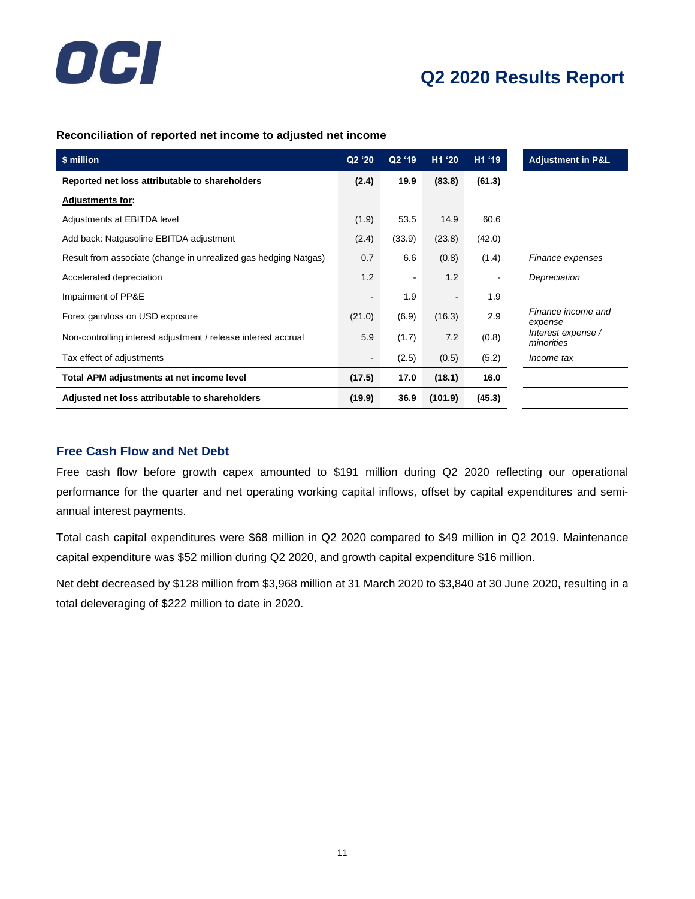

#### **Reconciliation of reported net income to adjusted net income**

| \$ million                                                      | Q2 '20 | Q2 '19         | H1 '20         | H1 '19                   | <b>Adjustment in P&amp;L</b>     |
|-----------------------------------------------------------------|--------|----------------|----------------|--------------------------|----------------------------------|
| Reported net loss attributable to shareholders                  | (2.4)  | 19.9           | (83.8)         | (61.3)                   |                                  |
| <b>Adjustments for:</b>                                         |        |                |                |                          |                                  |
| Adjustments at EBITDA level                                     | (1.9)  | 53.5           | 14.9           | 60.6                     |                                  |
| Add back: Natgasoline EBITDA adjustment                         | (2.4)  | (33.9)         | (23.8)         | (42.0)                   |                                  |
| Result from associate (change in unrealized gas hedging Natgas) | 0.7    | 6.6            | (0.8)          | (1.4)                    | Finance expenses                 |
| Accelerated depreciation                                        | 1.2    | $\blacksquare$ | 1.2            | $\overline{\phantom{a}}$ | Depreciation                     |
| Impairment of PP&E                                              |        | 1.9            | $\blacksquare$ | 1.9                      |                                  |
| Forex gain/loss on USD exposure                                 | (21.0) | (6.9)          | (16.3)         | 2.9                      | Finance income and<br>expense    |
| Non-controlling interest adjustment / release interest accrual  | 5.9    | (1.7)          | 7.2            | (0.8)                    | Interest expense /<br>minorities |
| Tax effect of adjustments                                       |        | (2.5)          | (0.5)          | (5.2)                    | Income tax                       |
| Total APM adjustments at net income level                       | (17.5) | 17.0           | (18.1)         | 16.0                     |                                  |
| Adjusted net loss attributable to shareholders                  | (19.9) | 36.9           | (101.9)        | (45.3)                   |                                  |

### **Free Cash Flow and Net Debt**

Free cash flow before growth capex amounted to \$191 million during Q2 2020 reflecting our operational performance for the quarter and net operating working capital inflows, offset by capital expenditures and semiannual interest payments.

Total cash capital expenditures were \$68 million in Q2 2020 compared to \$49 million in Q2 2019. Maintenance capital expenditure was \$52 million during Q2 2020, and growth capital expenditure \$16 million.

Net debt decreased by \$128 million from \$3,968 million at 31 March 2020 to \$3,840 at 30 June 2020, resulting in a total deleveraging of \$222 million to date in 2020.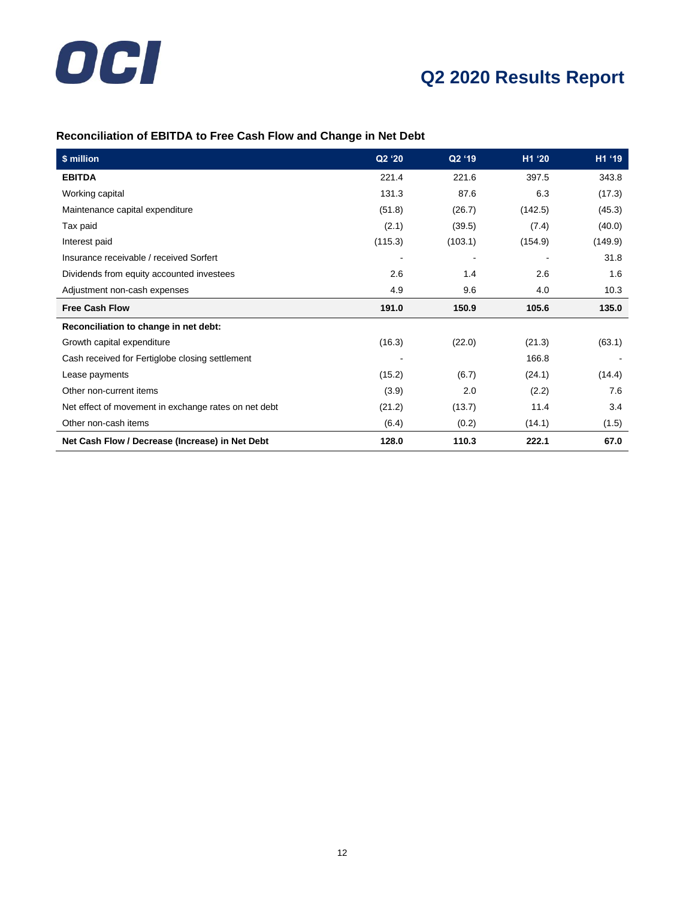

# **Reconciliation of EBITDA to Free Cash Flow and Change in Net Debt**

| \$ million                                           | Q2 '20  | Q2 '19  | H1 '20  | H1 '19  |
|------------------------------------------------------|---------|---------|---------|---------|
| <b>EBITDA</b>                                        | 221.4   | 221.6   | 397.5   | 343.8   |
| Working capital                                      | 131.3   | 87.6    | 6.3     | (17.3)  |
| Maintenance capital expenditure                      | (51.8)  | (26.7)  | (142.5) | (45.3)  |
| Tax paid                                             | (2.1)   | (39.5)  | (7.4)   | (40.0)  |
| Interest paid                                        | (115.3) | (103.1) | (154.9) | (149.9) |
| Insurance receivable / received Sorfert              |         |         |         | 31.8    |
| Dividends from equity accounted investees            | 2.6     | 1.4     | 2.6     | 1.6     |
| Adjustment non-cash expenses                         | 4.9     | 9.6     | 4.0     | 10.3    |
| <b>Free Cash Flow</b>                                | 191.0   | 150.9   | 105.6   | 135.0   |
| Reconciliation to change in net debt:                |         |         |         |         |
| Growth capital expenditure                           | (16.3)  | (22.0)  | (21.3)  | (63.1)  |
| Cash received for Fertiglobe closing settlement      |         |         | 166.8   |         |
| Lease payments                                       | (15.2)  | (6.7)   | (24.1)  | (14.4)  |
| Other non-current items                              | (3.9)   | 2.0     | (2.2)   | 7.6     |
| Net effect of movement in exchange rates on net debt | (21.2)  | (13.7)  | 11.4    | 3.4     |
| Other non-cash items                                 | (6.4)   | (0.2)   | (14.1)  | (1.5)   |
| Net Cash Flow / Decrease (Increase) in Net Debt      | 128.0   | 110.3   | 222.1   | 67.0    |